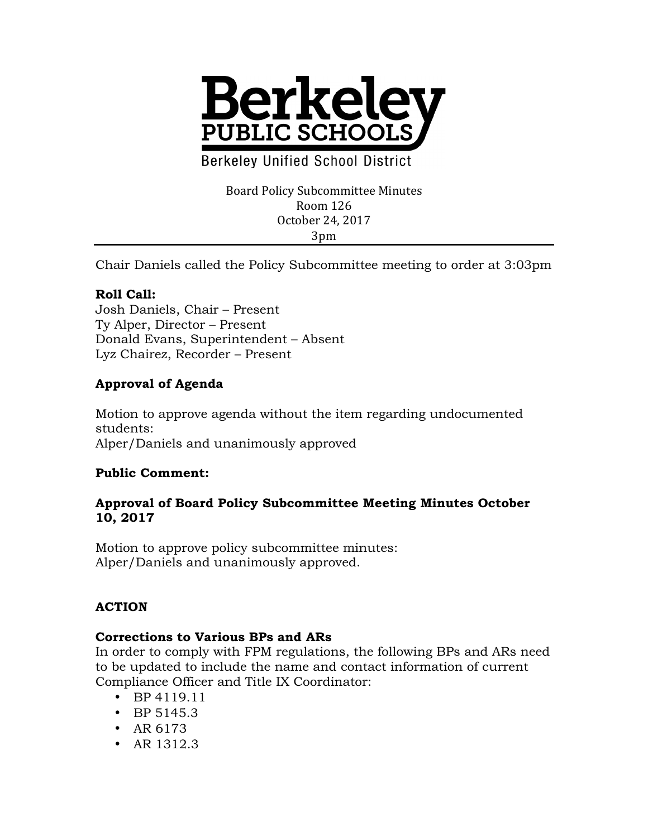

**Berkeley Unified School District** 

#### Board Policy Subcommittee Minutes Room 126 October 24, 2017 3pm

Chair Daniels called the Policy Subcommittee meeting to order at 3:03pm

## **Roll Call:**

Josh Daniels, Chair – Present Ty Alper, Director – Present Donald Evans, Superintendent – Absent Lyz Chairez, Recorder – Present

# **Approval of Agenda**

Motion to approve agenda without the item regarding undocumented students: Alper/Daniels and unanimously approved

## **Public Comment:**

### **Approval of Board Policy Subcommittee Meeting Minutes October 10, 2017**

Motion to approve policy subcommittee minutes: Alper/Daniels and unanimously approved.

## **ACTION**

#### **Corrections to Various BPs and ARs**

In order to comply with FPM regulations, the following BPs and ARs need to be updated to include the name and contact information of current Compliance Officer and Title IX Coordinator:

- BP 4119.11
- BP 5145.3
- AR 6173
- AR 1312.3